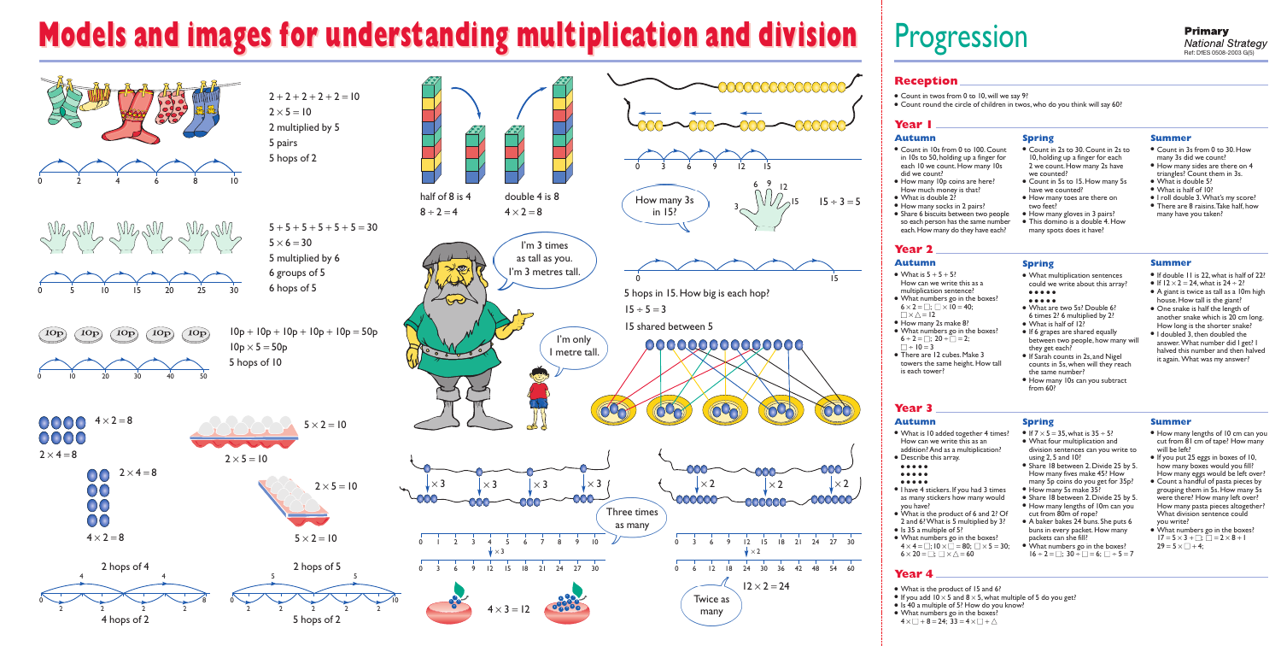# **Models and images for understanding multiplication and division Models and images for understanding multiplication and division**

## Progression

- Count in 3s from 0 to 30. How many 3s did we count?
- $\bullet$  How many sides are there on 4 triangles? Count them in 3s.
- What is double 5?
- What is half of 10?
- I roll double 3.What's my score? ● There are 8 raisins. Take half, how many have you taken?

#### **Reception**

- Count in twos from 0 to 10, will we say 9?
- Count round the circle of children in twos, who do you think will say 60?

#### **Year 1**

### **Year 2**

## **Year 3**

#### **Year 4**

#### **Autumn**

- Count in 10s from 0 to 100. Count in 10s to 50,holding up a finger for each 10 we count. How many 10s did we count?
- How many 10p coins are here? How much money is that?
- What is double 2?
- How many socks in 2 pairs?
- Share 6 biscuits between two people so each person has the same number each. How many do they have each?

- What is  $5 + 5 + 5$ ? How can we write this as a multiplication sentence?
- What numbers go in the boxes?  $6 \times 2 = \Box$ :  $\Box \times 10 = 40$ :  $\Box \times \triangle = 12$
- How many 2s make 8?
- What numbers go in the boxes?  $6 \div 2 = \Box$ ;  $20 \div \Box = 2$ ;  $\Box \div 10 = 3$
- There are 12 cubes. Make 3 towers the same height. How tall is each tower?

#### **Spring**

- What is the product of 15 and 6?
- If you add  $10 \times 5$  and  $8 \times 5$ , what multiple of 5 do you get?
- Is 40 a multiple of 5? How do you know?
- What numbers go in the boxes?
- $4 \times \square + 8 = 24$ ;  $33 = 4 \times \square + \triangle$
- Count in 2s to 30.Count in 2s to 10,holding up a finger for each 2 we count. How many 2s have we counted?
- Count in 5s to 15. How many 5s have we counted?
- How many toes are there on two feet?
- How many gloves in 3 pairs? ● This domino is a double 4.How
- many spots does it have?

- What is 10 added together 4 times? How can we write this as an addition? And as a multiplication?
- Describe this array.
- ● ● ●
- ● ● ●
- ● ● ●
- I have 4 stickers.If you had 3 times as many stickers how many would you have?
- What is the product of 6 and 2? Of 2 and 6? What is 5 multiplied by 3?
- Is 35 a multiple of 5?
- What numbers go in the boxes?  $4 \times 4 = \square$ ;  $10 \times \square = 80$ ;  $\square \times 5 = 30$ ;  $6 \times 20 = \Box$ ;  $\Box \times \triangle = 60$



#### **Summer**

• If  $7 \times 5 = 35$ , what is  $35 \div 5$ ? ● What four multiplication and

- division sentences can you write to using 2,5 and 10? ● Share 18 between 2. Divide 25 by 5.
- How many fives make 45? How many 5p coins do you get for 35p?
- How many 5s make 35?
- Share 18 between 2. Divide 25 by 5. ● How many lengths of 10m can you
- cut from 80m of rope? ● A baker bakes 24 buns. She puts 6 buns in every packet. How many
- packets can she fill? ● What numbers go in the boxes?  $16 \div 2 =$   $\Box$ ;  $30 \div \Box = 6$ ;  $\Box \div 5 = 7$

#### **Autumn**

- How many lengths of 10 cm can you cut from 81cm of tape? How many will be left?
- If you put 25 eggs in boxes of 10, how many boxes would you fill? How many eggs would be left over?
- Count a handful of pasta pieces by grouping them in 5s.How many 5s were there? How many left over? How many pasta pieces altogether? What division sentence could you write?
- What numbers go in the boxes?  $17 = 5 \times 3 + \square$ ;  $\square = 2 \times 8 + 1$  $29 = 5 \times \square + 4$ ;

#### **Spring**

● What multiplication sentences could we write about this array? ● ● ● ● ●

#### ● ● ● ● ●

- What are two 5s? Double 6? 6 times 2? 6 multiplied by 2?
- What is half of 12?
- If 6 grapes are shared equally between two people, how many will they get each?
- If Sarah counts in 2s,and Nigel counts in 5s,when will they reach the same number?
- How many 10s can you subtract from 60?

#### **Summer**

- If double 11 is 22,what is half of 22?
- If  $12 \times 2 = 24$ , what is  $24 \div 2$ ?
- A giant is twice as tall as a 10m high house. How tall is the giant?
- One snake is half the length of another snake which is 20 cm long. How long is the shorter snake?
- $\bullet$  I doubled 3, then doubled the answer. What number did I get? I halved this number and then halved it again. What was my answer?

#### **Autumn**

**Spring**

#### **Summer**